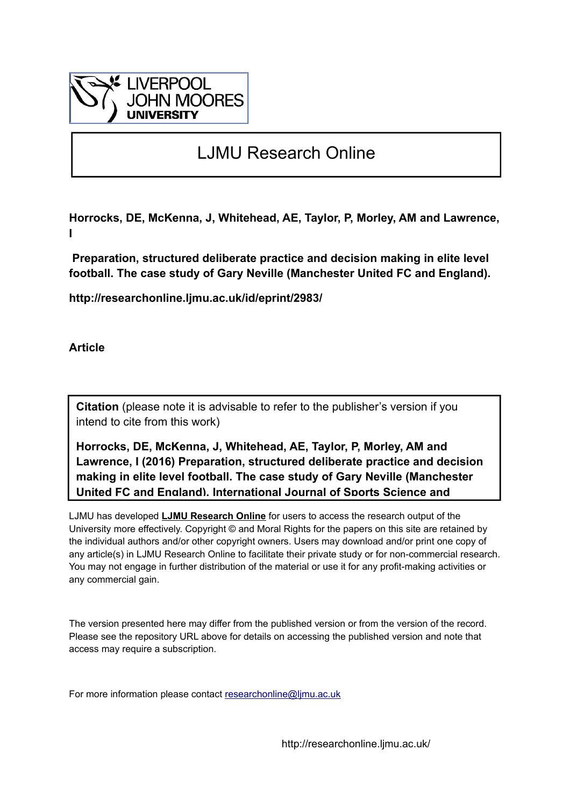

# LJMU Research Online

**Horrocks, DE, McKenna, J, Whitehead, AE, Taylor, P, Morley, AM and Lawrence, I**

 **Preparation, structured deliberate practice and decision making in elite level football. The case study of Gary Neville (Manchester United FC and England).**

**http://researchonline.ljmu.ac.uk/id/eprint/2983/**

**Article**

**Citation** (please note it is advisable to refer to the publisher's version if you intend to cite from this work)

**Horrocks, DE, McKenna, J, Whitehead, AE, Taylor, P, Morley, AM and Lawrence, I (2016) Preparation, structured deliberate practice and decision making in elite level football. The case study of Gary Neville (Manchester United FC and England). International Journal of Sports Science and** 

LJMU has developed **[LJMU Research Online](http://researchonline.ljmu.ac.uk/)** for users to access the research output of the University more effectively. Copyright © and Moral Rights for the papers on this site are retained by the individual authors and/or other copyright owners. Users may download and/or print one copy of any article(s) in LJMU Research Online to facilitate their private study or for non-commercial research. You may not engage in further distribution of the material or use it for any profit-making activities or any commercial gain.

The version presented here may differ from the published version or from the version of the record. Please see the repository URL above for details on accessing the published version and note that access may require a subscription.

For more information please contact researchonline@limu.ac.uk

http://researchonline.ljmu.ac.uk/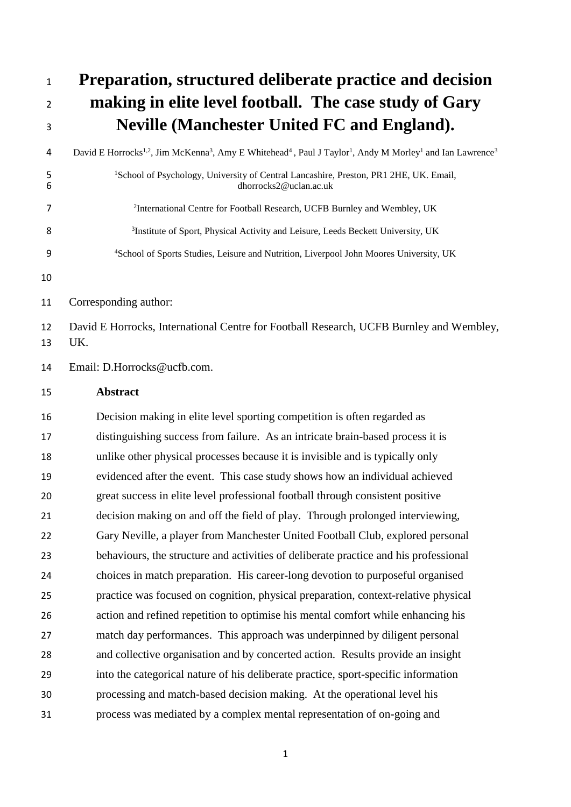**Preparation, structured deliberate practice and decision making in elite level football. The case study of Gary Neville (Manchester United FC and England).** 4 David E Horrocks<sup>1,2</sup>, Jim McKenna<sup>3</sup>, Amy E Whitehead<sup>4</sup>, Paul J Taylor<sup>1</sup>, Andy M Morley<sup>1</sup> and Ian Lawrence<sup>3</sup> <sup>1</sup> 1 School of Psychology, University of Central Lancashire, Preston, PR1 2HE, UK. Email,<br>dhorrocks<sup>2</sup>@uclan ac uk dhorrocks2@uclan.ac.uk International Centre for Football Research, UCFB Burnley and Wembley, UK Institute of Sport, Physical Activity and Leisure, Leeds Beckett University, UK School of Sports Studies, Leisure and Nutrition, Liverpool John Moores University, UK Corresponding author: David E Horrocks, International Centre for Football Research, UCFB Burnley and Wembley, UK. Email: D.Horrocks@ucfb.com. **Abstract** Decision making in elite level sporting competition is often regarded as distinguishing success from failure. As an intricate brain-based process it is unlike other physical processes because it is invisible and is typically only evidenced after the event. This case study shows how an individual achieved great success in elite level professional football through consistent positive decision making on and off the field of play. Through prolonged interviewing, Gary Neville, a player from Manchester United Football Club, explored personal behaviours, the structure and activities of deliberate practice and his professional choices in match preparation. His career-long devotion to purposeful organised practice was focused on cognition, physical preparation, context-relative physical action and refined repetition to optimise his mental comfort while enhancing his match day performances. This approach was underpinned by diligent personal and collective organisation and by concerted action. Results provide an insight into the categorical nature of his deliberate practice, sport-specific information processing and match-based decision making. At the operational level his process was mediated by a complex mental representation of on-going and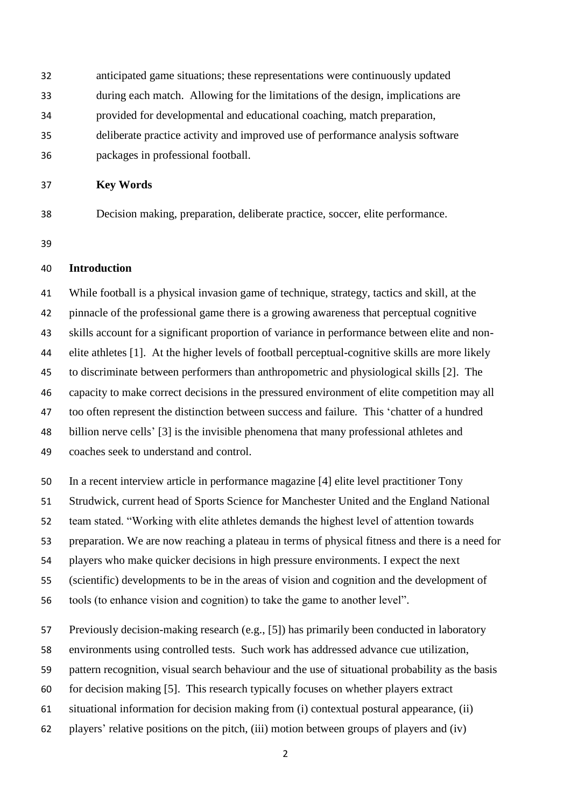- anticipated game situations; these representations were continuously updated during each match. Allowing for the limitations of the design, implications are provided for developmental and educational coaching, match preparation, deliberate practice activity and improved use of performance analysis software packages in professional football.
- 

## **Key Words**

Decision making, preparation, deliberate practice, soccer, elite performance.

#### **Introduction**

 While football is a physical invasion game of technique, strategy, tactics and skill, at the pinnacle of the professional game there is a growing awareness that perceptual cognitive skills account for a significant proportion of variance in performance between elite and non- elite athletes [1]. At the higher levels of football perceptual-cognitive skills are more likely to discriminate between performers than anthropometric and physiological skills [2]. The capacity to make correct decisions in the pressured environment of elite competition may all too often represent the distinction between success and failure. This 'chatter of a hundred billion nerve cells' [3] is the invisible phenomena that many professional athletes and coaches seek to understand and control.

 In a recent interview article in performance magazine [4] elite level practitioner Tony Strudwick, current head of Sports Science for Manchester United and the England National team stated. "Working with elite athletes demands the highest level of attention towards preparation. We are now reaching a plateau in terms of physical fitness and there is a need for players who make quicker decisions in high pressure environments. I expect the next (scientific) developments to be in the areas of vision and cognition and the development of tools (to enhance vision and cognition) to take the game to another level".

Previously decision-making research (e.g., [5]) has primarily been conducted in laboratory

environments using controlled tests. Such work has addressed advance cue utilization,

pattern recognition, visual search behaviour and the use of situational probability as the basis

- for decision making [5]. This research typically focuses on whether players extract
- situational information for decision making from (i) contextual postural appearance, (ii)
- players' relative positions on the pitch, (iii) motion between groups of players and (iv)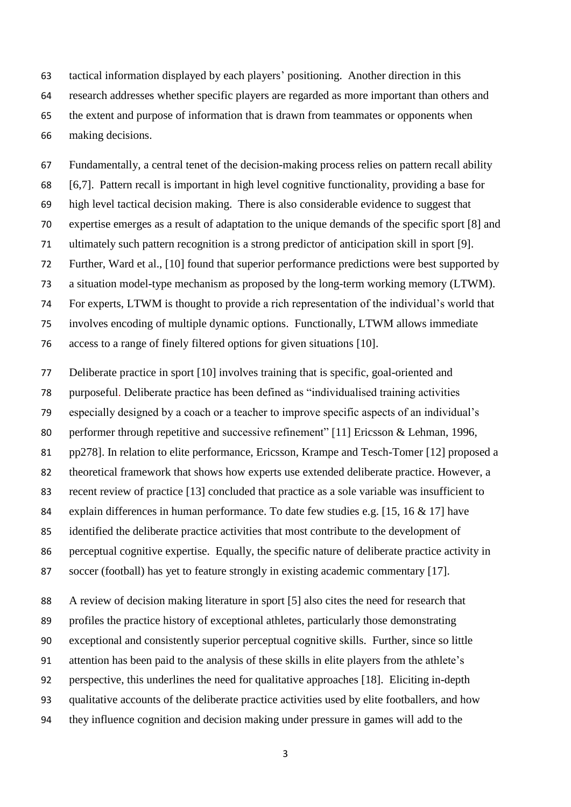tactical information displayed by each players' positioning. Another direction in this research addresses whether specific players are regarded as more important than others and the extent and purpose of information that is drawn from teammates or opponents when making decisions.

 Fundamentally, a central tenet of the decision-making process relies on pattern recall ability [6,7]. Pattern recall is important in high level cognitive functionality, providing a base for high level tactical decision making. There is also considerable evidence to suggest that expertise emerges as a result of adaptation to the unique demands of the specific sport [8] and ultimately such pattern recognition is a strong predictor of anticipation skill in sport [9]. Further, Ward et al., [10] found that superior performance predictions were best supported by a situation model-type mechanism as proposed by the long-term working memory (LTWM). For experts, LTWM is thought to provide a rich representation of the individual's world that involves encoding of multiple dynamic options. Functionally, LTWM allows immediate access to a range of finely filtered options for given situations [10].

 Deliberate practice in sport [10] involves training that is specific, goal-oriented and purposeful. Deliberate practice has been defined as "individualised training activities especially designed by a coach or a teacher to improve specific aspects of an individual's 80 performer through repetitive and successive refinement" [11] Ericsson & Lehman, 1996, pp278]. In relation to elite performance, Ericsson, Krampe and Tesch-Tomer [12] proposed a theoretical framework that shows how experts use extended deliberate practice. However, a recent review of practice [13] concluded that practice as a sole variable was insufficient to 84 explain differences in human performance. To date few studies e.g. [15, 16 & 17] have identified the deliberate practice activities that most contribute to the development of perceptual cognitive expertise. Equally, the specific nature of deliberate practice activity in soccer (football) has yet to feature strongly in existing academic commentary [17].

 A review of decision making literature in sport [5] also cites the need for research that profiles the practice history of exceptional athletes, particularly those demonstrating exceptional and consistently superior perceptual cognitive skills. Further, since so little attention has been paid to the analysis of these skills in elite players from the athlete's perspective, this underlines the need for qualitative approaches [18]. Eliciting in-depth qualitative accounts of the deliberate practice activities used by elite footballers, and how they influence cognition and decision making under pressure in games will add to the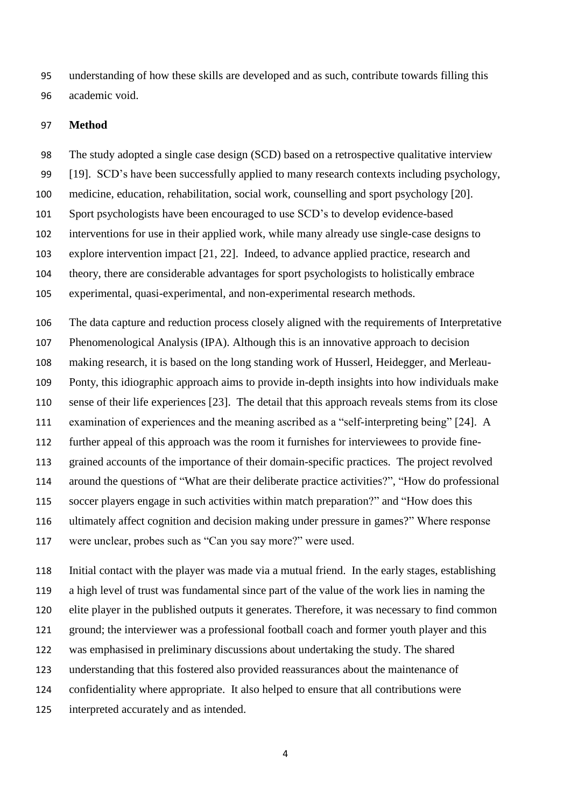understanding of how these skills are developed and as such, contribute towards filling this academic void.

#### **Method**

 The study adopted a single case design (SCD) based on a retrospective qualitative interview [19]. SCD's have been successfully applied to many research contexts including psychology, medicine, education, rehabilitation, social work, counselling and sport psychology [20]. Sport psychologists have been encouraged to use SCD's to develop evidence-based interventions for use in their applied work, while many already use single-case designs to explore intervention impact [21, 22]. Indeed, to advance applied practice, research and theory, there are considerable advantages for sport psychologists to holistically embrace experimental, quasi-experimental, and non-experimental research methods.

 The data capture and reduction process closely aligned with the requirements of Interpretative Phenomenological Analysis (IPA). Although this is an innovative approach to decision making research, it is based on the long standing work of Husserl, Heidegger, and Merleau- Ponty, this idiographic approach aims to provide in-depth insights into how individuals make sense of their life experiences [23]. The detail that this approach reveals stems from its close examination of experiences and the meaning ascribed as a "self-interpreting being" [24]. A further appeal of this approach was the room it furnishes for interviewees to provide fine- grained accounts of the importance of their domain-specific practices. The project revolved around the questions of "What are their deliberate practice activities?", "How do professional soccer players engage in such activities within match preparation?" and "How does this ultimately affect cognition and decision making under pressure in games?" Where response were unclear, probes such as "Can you say more?" were used.

 Initial contact with the player was made via a mutual friend. In the early stages, establishing a high level of trust was fundamental since part of the value of the work lies in naming the elite player in the published outputs it generates. Therefore, it was necessary to find common ground; the interviewer was a professional football coach and former youth player and this was emphasised in preliminary discussions about undertaking the study. The shared understanding that this fostered also provided reassurances about the maintenance of confidentiality where appropriate. It also helped to ensure that all contributions were interpreted accurately and as intended.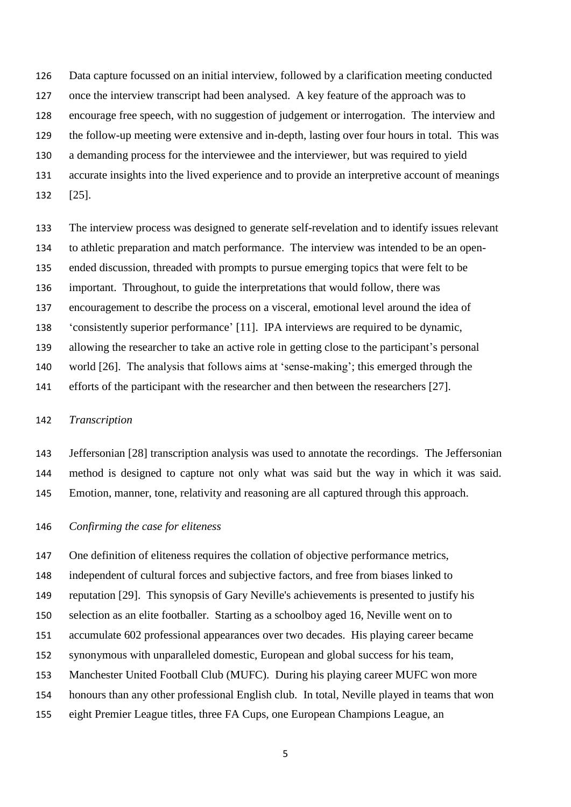Data capture focussed on an initial interview, followed by a clarification meeting conducted once the interview transcript had been analysed. A key feature of the approach was to encourage free speech, with no suggestion of judgement or interrogation. The interview and the follow-up meeting were extensive and in-depth, lasting over four hours in total. This was a demanding process for the interviewee and the interviewer, but was required to yield accurate insights into the lived experience and to provide an interpretive account of meanings [25].

 The interview process was designed to generate self-revelation and to identify issues relevant to athletic preparation and match performance. The interview was intended to be an open- ended discussion, threaded with prompts to pursue emerging topics that were felt to be important. Throughout, to guide the interpretations that would follow, there was encouragement to describe the process on a visceral, emotional level around the idea of 'consistently superior performance' [11]. IPA interviews are required to be dynamic, allowing the researcher to take an active role in getting close to the participant's personal world [26]. The analysis that follows aims at 'sense-making'; this emerged through the efforts of the participant with the researcher and then between the researchers [27].

#### *Transcription*

 Jeffersonian [28] transcription analysis was used to annotate the recordings. The Jeffersonian method is designed to capture not only what was said but the way in which it was said. Emotion, manner, tone, relativity and reasoning are all captured through this approach.

#### *Confirming the case for eliteness*

 One definition of eliteness requires the collation of objective performance metrics, independent of cultural forces and subjective factors, and free from biases linked to reputation [29]. This synopsis of Gary Neville's achievements is presented to justify his selection as an elite footballer. Starting as a schoolboy aged 16, Neville went on to accumulate 602 professional appearances over two decades. His playing career became synonymous with unparalleled domestic, European and global success for his team, Manchester United Football Club (MUFC). During his playing career MUFC won more honours than any other professional English club. In total, Neville played in teams that won eight Premier League titles, three FA Cups, one European Champions League, an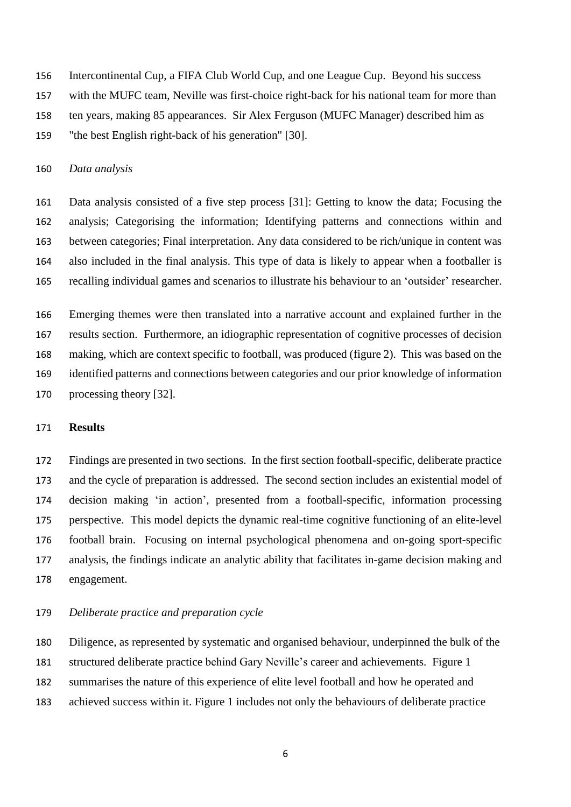Intercontinental Cup, a FIFA Club World Cup, and one League Cup. Beyond his success

with the MUFC team, Neville was first-choice right-back for his national team for more than

ten years, making 85 appearances. Sir Alex Ferguson (MUFC Manager) described him as

"the best English right-back of his generation" [30].

#### *Data analysis*

 Data analysis consisted of a five step process [31]: Getting to know the data; Focusing the analysis; Categorising the information; Identifying patterns and connections within and between categories; Final interpretation. Any data considered to be rich/unique in content was also included in the final analysis. This type of data is likely to appear when a footballer is recalling individual games and scenarios to illustrate his behaviour to an 'outsider' researcher.

 Emerging themes were then translated into a narrative account and explained further in the results section. Furthermore, an idiographic representation of cognitive processes of decision making, which are context specific to football, was produced (figure 2). This was based on the identified patterns and connections between categories and our prior knowledge of information processing theory [32].

#### **Results**

 Findings are presented in two sections. In the first section football-specific, deliberate practice and the cycle of preparation is addressed. The second section includes an existential model of decision making 'in action', presented from a football-specific, information processing perspective. This model depicts the dynamic real-time cognitive functioning of an elite-level football brain. Focusing on internal psychological phenomena and on-going sport-specific analysis, the findings indicate an analytic ability that facilitates in-game decision making and engagement.

#### *Deliberate practice and preparation cycle*

 Diligence, as represented by systematic and organised behaviour, underpinned the bulk of the structured deliberate practice behind Gary Neville's career and achievements. Figure 1 summarises the nature of this experience of elite level football and how he operated and achieved success within it. Figure 1 includes not only the behaviours of deliberate practice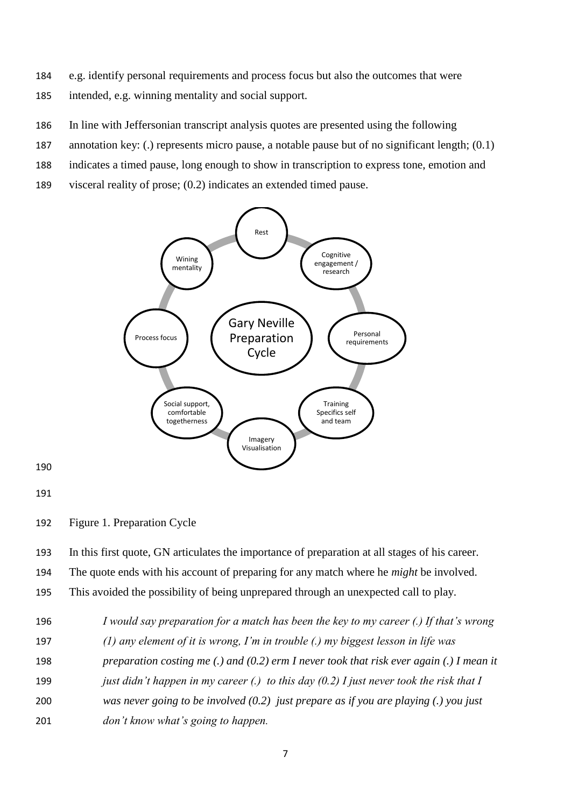- 184 e.g. identify personal requirements and process focus but also the outcomes that were 185 intended, e.g. winning mentality and social support.
- 186 In line with Jeffersonian transcript analysis quotes are presented using the following
- 187 annotation key: (.) represents micro pause, a notable pause but of no significant length; (0.1)
- 188 indicates a timed pause, long enough to show in transcription to express tone, emotion and
- 189 visceral reality of prose; (0.2) indicates an extended timed pause.



191

190

192 Figure 1. Preparation Cycle

193 In this first quote, GN articulates the importance of preparation at all stages of his career.

194 The quote ends with his account of preparing for any match where he *might* be involved.

195 This avoided the possibility of being unprepared through an unexpected call to play.

 *I would say preparation for a match has been the key to my career (.) If that's wrong (1) any element of it is wrong, I'm in trouble (.) my biggest lesson in life was preparation costing me (.) and (0.2) erm I never took that risk ever again (.) I mean it just didn't happen in my career (.) to this day (0.2) I just never took the risk that I was never going to be involved (0.2) just prepare as if you are playing (.) you just don't know what's going to happen.*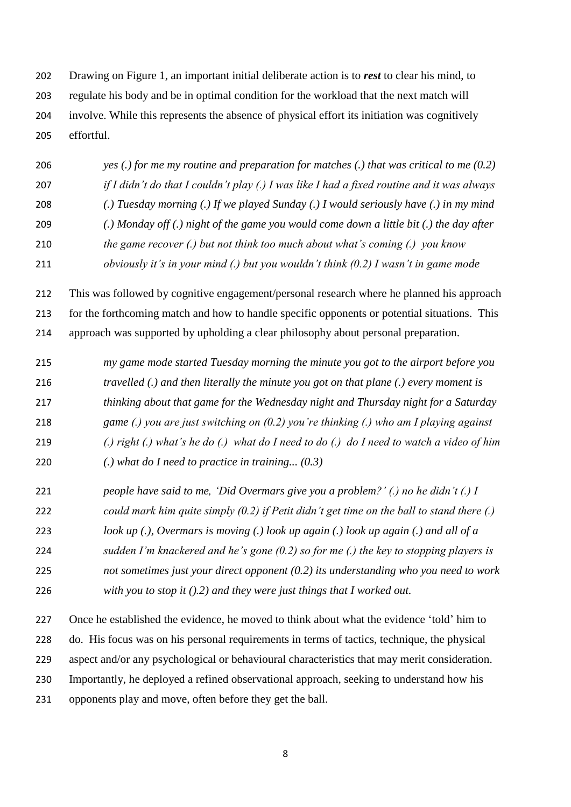Drawing on Figure 1, an important initial deliberate action is to *rest* to clear his mind, to regulate his body and be in optimal condition for the workload that the next match will involve. While this represents the absence of physical effort its initiation was cognitively effortful.

 *yes (.) for me my routine and preparation for matches (.) that was critical to me (0.2) if I didn't do that I couldn't play (.) I was like I had a fixed routine and it was always (.) Tuesday morning (.) If we played Sunday (.) I would seriously have (.) in my mind (.) Monday off (.) night of the game you would come down a little bit (.) the day after the game recover (.) but not think too much about what's coming (.) you know obviously it's in your mind (.) but you wouldn't think (0.2) I wasn't in game mode*

 This was followed by cognitive engagement/personal research where he planned his approach for the forthcoming match and how to handle specific opponents or potential situations. This approach was supported by upholding a clear philosophy about personal preparation.

- *my game mode started Tuesday morning the minute you got to the airport before you travelled (.) and then literally the minute you got on that plane (.) every moment is thinking about that game for the Wednesday night and Thursday night for a Saturday game (.) you are just switching on (0.2) you're thinking (.) who am I playing against (.) right (.) what's he do (.) what do I need to do (.) do I need to watch a video of him*
- *(.) what do I need to practice in training... (0.3)*
- *people have said to me, 'Did Overmars give you a problem?' (.) no he didn't (.) I could mark him quite simply (0.2) if Petit didn't get time on the ball to stand there (.)*
- 
- *look up (.), Overmars is moving (.) look up again (.) look up again (.) and all of a*
- *sudden I'm knackered and he's gone (0.2) so for me (.) the key to stopping players is*
- *not sometimes just your direct opponent (0.2) its understanding who you need to work*
- *with you to stop it ().2) and they were just things that I worked out.*

 Once he established the evidence, he moved to think about what the evidence 'told' him to do. His focus was on his personal requirements in terms of tactics, technique, the physical aspect and/or any psychological or behavioural characteristics that may merit consideration. Importantly, he deployed a refined observational approach, seeking to understand how his opponents play and move, often before they get the ball.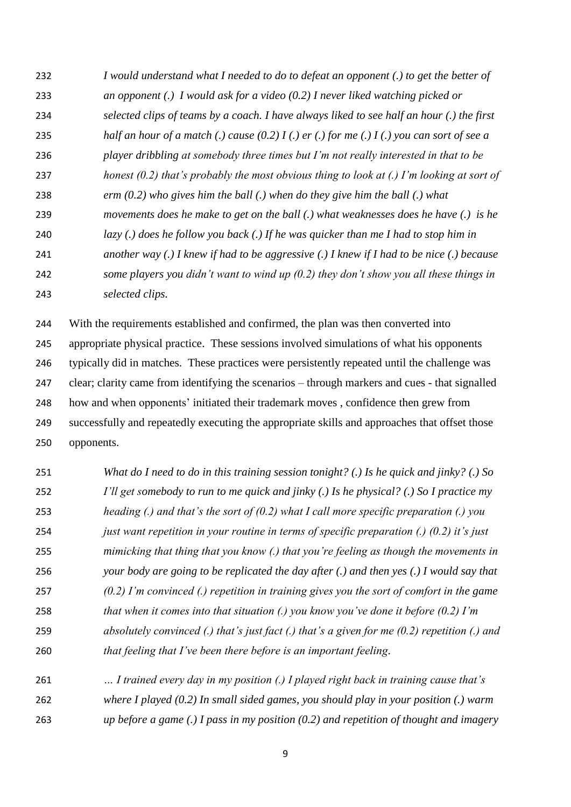*I would understand what I needed to do to defeat an opponent (.) to get the better of an opponent (.) I would ask for a video (0.2) I never liked watching picked or selected clips of teams by a coach. I have always liked to see half an hour (.) the first half an hour of a match (.) cause (0.2) I (.) er (.) for me (.) I (.) you can sort of see a player dribbling at somebody three times but I'm not really interested in that to be honest (0.2) that's probably the most obvious thing to look at (.) I'm looking at sort of erm (0.2) who gives him the ball (.) when do they give him the ball (.) what movements does he make to get on the ball (.) what weaknesses does he have (.) is he lazy (.) does he follow you back (.) If he was quicker than me I had to stop him in another way (.) I knew if had to be aggressive (.) I knew if I had to be nice (.) because some players you didn't want to wind up (0.2) they don't show you all these things in selected clips.*

 With the requirements established and confirmed, the plan was then converted into appropriate physical practice. These sessions involved simulations of what his opponents typically did in matches. These practices were persistently repeated until the challenge was clear; clarity came from identifying the scenarios – through markers and cues - that signalled how and when opponents' initiated their trademark moves , confidence then grew from successfully and repeatedly executing the appropriate skills and approaches that offset those opponents.

- *What do I need to do in this training session tonight? (.) Is he quick and jinky? (.) So I'll get somebody to run to me quick and jinky (.) Is he physical? (.) So I practice my heading (.) and that's the sort of (0.2) what I call more specific preparation (.) you just want repetition in your routine in terms of specific preparation (.) (0.2) it's just mimicking that thing that you know (.) that you're feeling as though the movements in your body are going to be replicated the day after (.) and then yes (.) I would say that (0.2) I'm convinced (.) repetition in training gives you the sort of comfort in the game that when it comes into that situation (.) you know you've done it before (0.2) I'm absolutely convinced (.) that's just fact (.) that's a given for me (0.2) repetition (.) and that feeling that I've been there before is an important feeling.*
- *… I trained every day in my position (.) I played right back in training cause that's where I played (0.2) In small sided games, you should play in your position (.) warm*
- *up before a game (.) I pass in my position (0.2) and repetition of thought and imagery*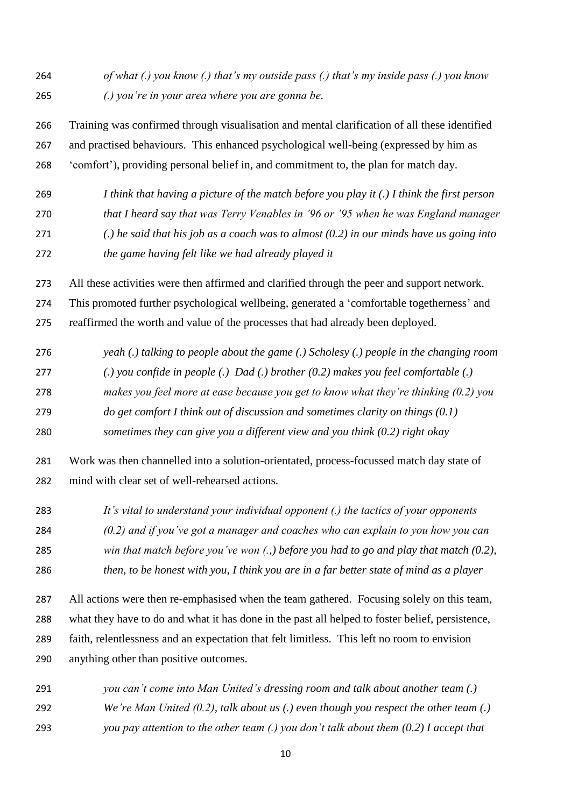*of what (.) you know (.) that's my outside pass (.) that's my inside pass (.) you know (.) you're in your area where you are gonna be.*

 Training was confirmed through visualisation and mental clarification of all these identified and practised behaviours. This enhanced psychological well-being (expressed by him as 'comfort'), providing personal belief in, and commitment to, the plan for match day.

 *I think that having a picture of the match before you play it (.) I think the first person that I heard say that was Terry Venables in '96 or '95 when he was England manager (.) he said that his job as a coach was to almost (0.2) in our minds have us going into the game having felt like we had already played it* 

All these activities were then affirmed and clarified through the peer and support network.

This promoted further psychological wellbeing, generated a 'comfortable togetherness' and

reaffirmed the worth and value of the processes that had already been deployed.

- *yeah (.) talking to people about the game (.) Scholesy (.) people in the changing room (.) you confide in people (.) Dad (.) brother (0.2) makes you feel comfortable (.) makes you feel more at ease because you get to know what they're thinking (0.2) you do get comfort I think out of discussion and sometimes clarity on things (0.1)*
- *sometimes they can give you a different view and you think (0.2) right okay*

 Work was then channelled into a solution-orientated, process*-*focussed match day state of mind with clear set of well-rehearsed actions.

*It's vital to understand your individual opponent (.) the tactics of your opponents* 

*(0.2) and if you've got a manager and coaches who can explain to you how you can* 

*win that match before you've won (.,) before you had to go and play that match (0.2),*

*then, to be honest with you, I think you are in a far better state of mind as a player*

 All actions were then re-emphasised when the team gathered. Focusing solely on this team, what they have to do and what it has done in the past all helped to foster belief, persistence, faith, relentlessness and an expectation that felt limitless. This left no room to envision anything other than positive outcomes.

 *you can't come into Man United's dressing room and talk about another team (.) We're Man United (0.2), talk about us (.) even though you respect the other team (.) you pay attention to the other team (.) you don't talk about them (0.2) I accept that*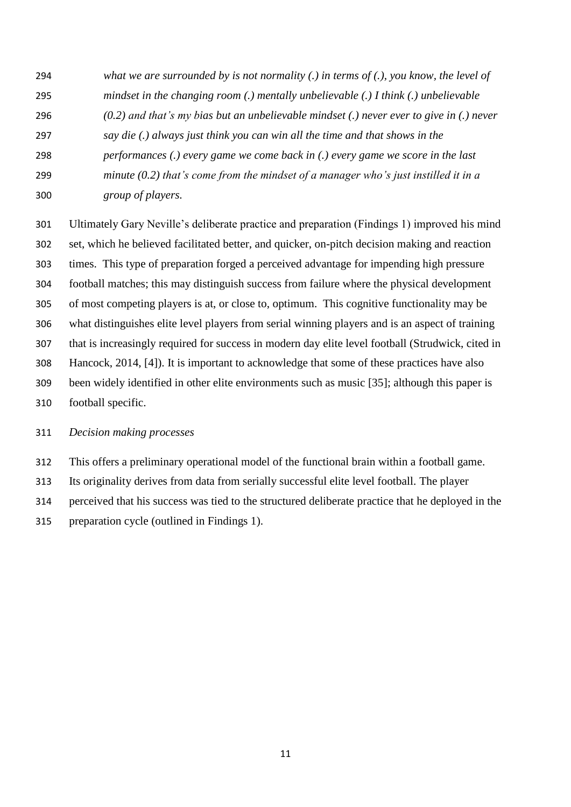- *what we are surrounded by is not normality (.) in terms of (.), you know, the level of*
- *mindset in the changing room (.) mentally unbelievable (.) I think (.) unbelievable*
- *(0.2) and that's my bias but an unbelievable mindset (.) never ever to give in (.) never*
- *say die (.) always just think you can win all the time and that shows in the*
- *performances (.) every game we come back in (.) every game we score in the last*
- *minute (0.2) that's come from the mindset of a manager who's just instilled it in a*
- *group of players.*

 Ultimately Gary Neville's deliberate practice and preparation (Findings 1) improved his mind set, which he believed facilitated better, and quicker, on-pitch decision making and reaction times. This type of preparation forged a perceived advantage for impending high pressure football matches; this may distinguish success from failure where the physical development of most competing players is at, or close to, optimum. This cognitive functionality may be what distinguishes elite level players from serial winning players and is an aspect of training that is increasingly required for success in modern day elite level football (Strudwick, cited in Hancock, 2014, [4]). It is important to acknowledge that some of these practices have also been widely identified in other elite environments such as music [35]; although this paper is football specific.

### *Decision making processes*

This offers a preliminary operational model of the functional brain within a football game.

Its originality derives from data from serially successful elite level football. The player

perceived that his success was tied to the structured deliberate practice that he deployed in the

preparation cycle (outlined in Findings 1).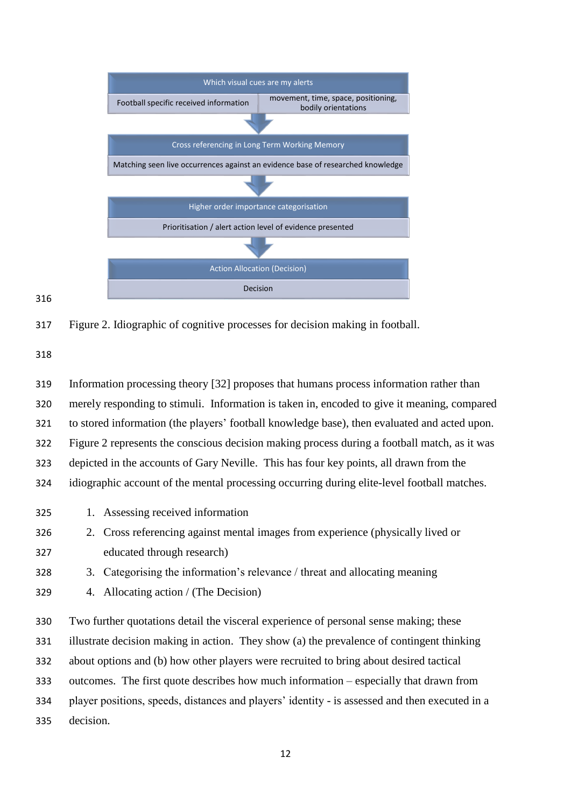

#### 

Figure 2. Idiographic of cognitive processes for decision making in football.

 Information processing theory [32] proposes that humans process information rather than merely responding to stimuli. Information is taken in, encoded to give it meaning, compared to stored information (the players' football knowledge base), then evaluated and acted upon. Figure 2 represents the conscious decision making process during a football match, as it was depicted in the accounts of Gary Neville. This has four key points, all drawn from the idiographic account of the mental processing occurring during elite-level football matches. 1. Assessing received information 2. Cross referencing against mental images from experience (physically lived or educated through research) 3. Categorising the information's relevance / threat and allocating meaning 4. Allocating action / (The Decision) Two further quotations detail the visceral experience of personal sense making; these illustrate decision making in action. They show (a) the prevalence of contingent thinking about options and (b) how other players were recruited to bring about desired tactical outcomes. The first quote describes how much information – especially that drawn from

 player positions, speeds, distances and players' identity - is assessed and then executed in a decision.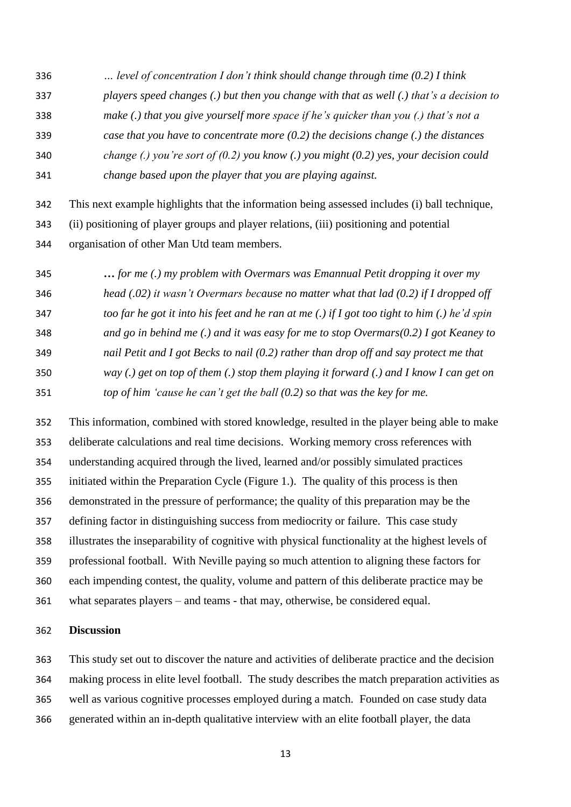*… level of concentration I don't think should change through time (0.2) I think players speed changes (.) but then you change with that as well (.) that's a decision to make (.) that you give yourself more space if he's quicker than you (.) that's not a case that you have to concentrate more (0.2) the decisions change (.) the distances change (.) you're sort of (0.2) you know (.) you might (0.2) yes, your decision could change based upon the player that you are playing against.*

 This next example highlights that the information being assessed includes (i) ball technique, (ii) positioning of player groups and player relations, (iii) positioning and potential organisation of other Man Utd team members.

 **…** *for me (.) my problem with Overmars was Emannual Petit dropping it over my head (.02) it wasn't Overmars because no matter what that lad (0.2) if I dropped off too far he got it into his feet and he ran at me (.) if I got too tight to him (.) he'd spin and go in behind me (.) and it was easy for me to stop Overmars(0.2) I got Keaney to nail Petit and I got Becks to nail (0.2) rather than drop off and say protect me that way (.) get on top of them (.) stop them playing it forward (.) and I know I can get on top of him 'cause he can't get the ball (0.2) so that was the key for me.*

 This information, combined with stored knowledge, resulted in the player being able to make deliberate calculations and real time decisions. Working memory cross references with understanding acquired through the lived, learned and/or possibly simulated practices initiated within the Preparation Cycle (Figure 1.). The quality of this process is then demonstrated in the pressure of performance; the quality of this preparation may be the defining factor in distinguishing success from mediocrity or failure. This case study illustrates the inseparability of cognitive with physical functionality at the highest levels of professional football. With Neville paying so much attention to aligning these factors for each impending contest, the quality, volume and pattern of this deliberate practice may be what separates players – and teams - that may, otherwise, be considered equal.

#### **Discussion**

 This study set out to discover the nature and activities of deliberate practice and the decision making process in elite level football. The study describes the match preparation activities as well as various cognitive processes employed during a match. Founded on case study data generated within an in-depth qualitative interview with an elite football player, the data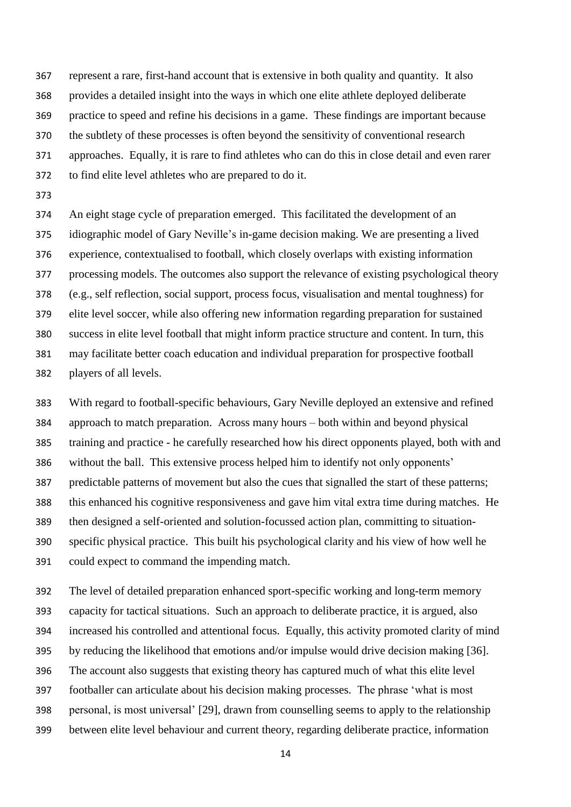represent a rare, first-hand account that is extensive in both quality and quantity. It also provides a detailed insight into the ways in which one elite athlete deployed deliberate practice to speed and refine his decisions in a game. These findings are important because the subtlety of these processes is often beyond the sensitivity of conventional research approaches. Equally, it is rare to find athletes who can do this in close detail and even rarer to find elite level athletes who are prepared to do it.

 An eight stage cycle of preparation emerged. This facilitated the development of an idiographic model of Gary Neville's in-game decision making. We are presenting a lived experience, contextualised to football, which closely overlaps with existing information processing models. The outcomes also support the relevance of existing psychological theory (e.g., self reflection, social support, process focus, visualisation and mental toughness) for elite level soccer, while also offering new information regarding preparation for sustained success in elite level football that might inform practice structure and content. In turn, this may facilitate better coach education and individual preparation for prospective football players of all levels.

 With regard to football-specific behaviours, Gary Neville deployed an extensive and refined approach to match preparation. Across many hours – both within and beyond physical training and practice - he carefully researched how his direct opponents played, both with and without the ball. This extensive process helped him to identify not only opponents' predictable patterns of movement but also the cues that signalled the start of these patterns; this enhanced his cognitive responsiveness and gave him vital extra time during matches. He then designed a self-oriented and solution-focussed action plan, committing to situation- specific physical practice. This built his psychological clarity and his view of how well he could expect to command the impending match.

 The level of detailed preparation enhanced sport-specific working and long-term memory capacity for tactical situations. Such an approach to deliberate practice, it is argued, also increased his controlled and attentional focus. Equally, this activity promoted clarity of mind by reducing the likelihood that emotions and/or impulse would drive decision making [36]. The account also suggests that existing theory has captured much of what this elite level footballer can articulate about his decision making processes. The phrase 'what is most personal, is most universal' [29], drawn from counselling seems to apply to the relationship between elite level behaviour and current theory, regarding deliberate practice, information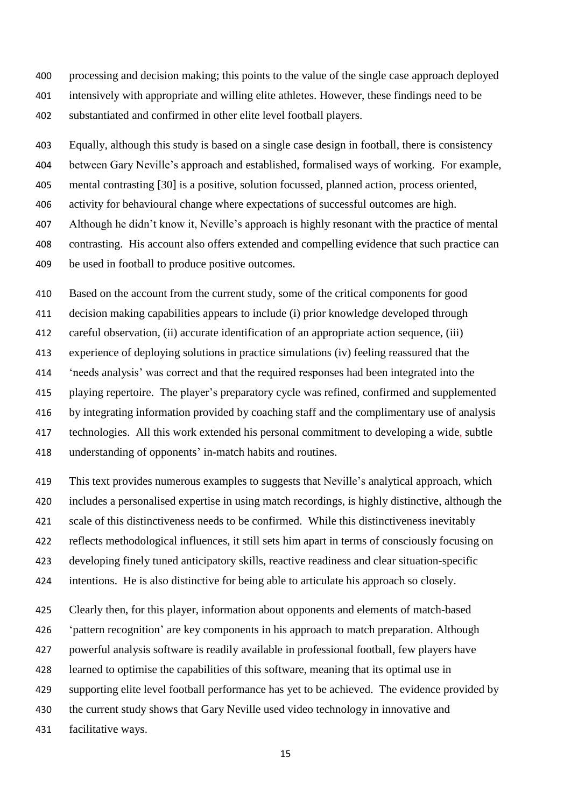processing and decision making; this points to the value of the single case approach deployed intensively with appropriate and willing elite athletes. However, these findings need to be substantiated and confirmed in other elite level football players.

Equally, although this study is based on a single case design in football, there is consistency

between Gary Neville's approach and established, formalised ways of working. For example,

mental contrasting [30] is a positive, solution focussed, planned action, process oriented,

activity for behavioural change where expectations of successful outcomes are high.

Although he didn't know it, Neville's approach is highly resonant with the practice of mental

contrasting. His account also offers extended and compelling evidence that such practice can

be used in football to produce positive outcomes.

Based on the account from the current study, some of the critical components for good

decision making capabilities appears to include (i) prior knowledge developed through

careful observation, (ii) accurate identification of an appropriate action sequence, (iii)

experience of deploying solutions in practice simulations (iv) feeling reassured that the

'needs analysis' was correct and that the required responses had been integrated into the

playing repertoire. The player's preparatory cycle was refined, confirmed and supplemented

by integrating information provided by coaching staff and the complimentary use of analysis

 technologies. All this work extended his personal commitment to developing a wide, subtle understanding of opponents' in-match habits and routines.

 This text provides numerous examples to suggests that Neville's analytical approach, which includes a personalised expertise in using match recordings, is highly distinctive, although the scale of this distinctiveness needs to be confirmed. While this distinctiveness inevitably reflects methodological influences, it still sets him apart in terms of consciously focusing on developing finely tuned anticipatory skills, reactive readiness and clear situation-specific intentions. He is also distinctive for being able to articulate his approach so closely.

 Clearly then, for this player, information about opponents and elements of match-based 'pattern recognition' are key components in his approach to match preparation. Although powerful analysis software is readily available in professional football, few players have learned to optimise the capabilities of this software, meaning that its optimal use in supporting elite level football performance has yet to be achieved. The evidence provided by the current study shows that Gary Neville used video technology in innovative and facilitative ways.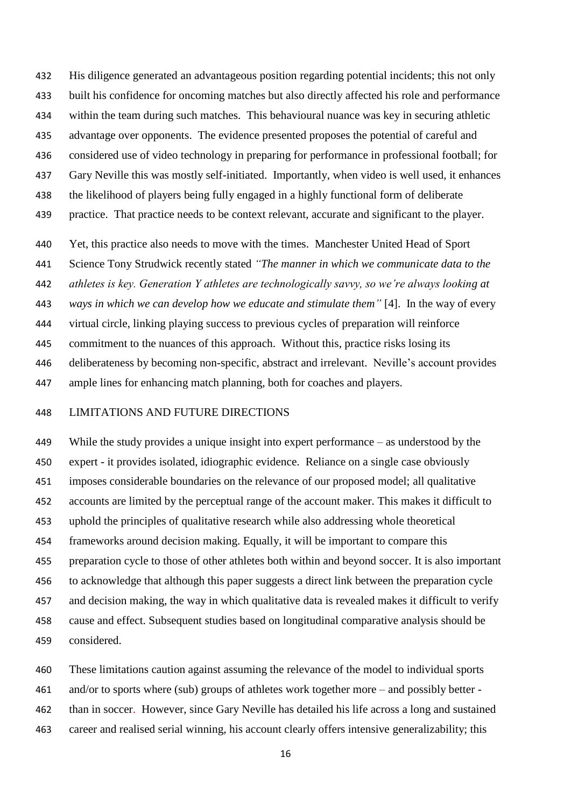His diligence generated an advantageous position regarding potential incidents; this not only built his confidence for oncoming matches but also directly affected his role and performance within the team during such matches. This behavioural nuance was key in securing athletic advantage over opponents. The evidence presented proposes the potential of careful and considered use of video technology in preparing for performance in professional football; for Gary Neville this was mostly self-initiated. Importantly, when video is well used, it enhances the likelihood of players being fully engaged in a highly functional form of deliberate practice. That practice needs to be context relevant, accurate and significant to the player.

Yet, this practice also needs to move with the times. Manchester United Head of Sport

Science Tony Strudwick recently stated *"The manner in which we communicate data to the* 

*athletes is key. Generation Y athletes are technologically savvy, so we're always looking at* 

*ways in which we can develop how we educate and stimulate them"* [4]. In the way of every

virtual circle, linking playing success to previous cycles of preparation will reinforce

commitment to the nuances of this approach. Without this, practice risks losing its

deliberateness by becoming non-specific, abstract and irrelevant. Neville's account provides

ample lines for enhancing match planning, both for coaches and players.

#### LIMITATIONS AND FUTURE DIRECTIONS

 While the study provides a unique insight into expert performance – as understood by the expert - it provides isolated, idiographic evidence. Reliance on a single case obviously imposes considerable boundaries on the relevance of our proposed model; all qualitative accounts are limited by the perceptual range of the account maker. This makes it difficult to uphold the principles of qualitative research while also addressing whole theoretical frameworks around decision making. Equally, it will be important to compare this preparation cycle to those of other athletes both within and beyond soccer. It is also important to acknowledge that although this paper suggests a direct link between the preparation cycle and decision making, the way in which qualitative data is revealed makes it difficult to verify cause and effect. Subsequent studies based on longitudinal comparative analysis should be considered.

 These limitations caution against assuming the relevance of the model to individual sports and/or to sports where (sub) groups of athletes work together more – and possibly better - than in soccer. However, since Gary Neville has detailed his life across a long and sustained career and realised serial winning, his account clearly offers intensive generalizability; this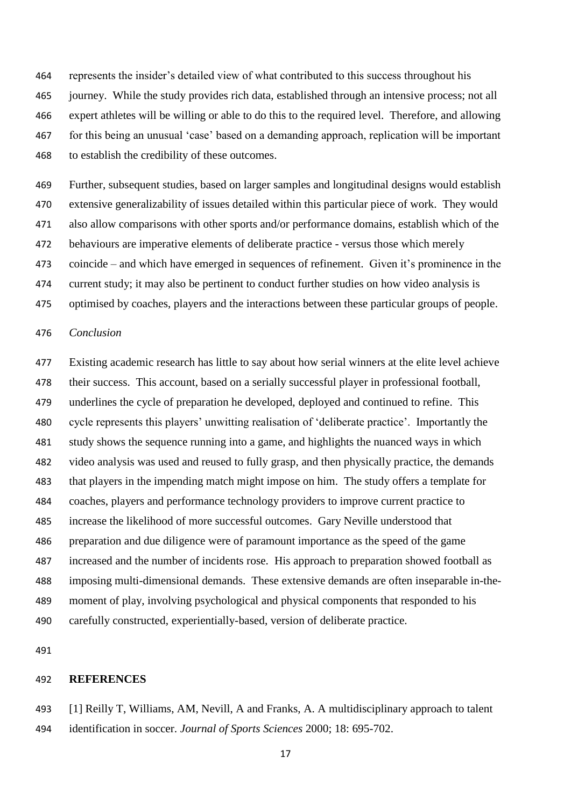represents the insider's detailed view of what contributed to this success throughout his journey. While the study provides rich data, established through an intensive process; not all expert athletes will be willing or able to do this to the required level. Therefore, and allowing for this being an unusual 'case' based on a demanding approach, replication will be important to establish the credibility of these outcomes.

 Further, subsequent studies, based on larger samples and longitudinal designs would establish extensive generalizability of issues detailed within this particular piece of work. They would also allow comparisons with other sports and/or performance domains, establish which of the behaviours are imperative elements of deliberate practice - versus those which merely coincide – and which have emerged in sequences of refinement. Given it's prominence in the current study; it may also be pertinent to conduct further studies on how video analysis is optimised by coaches, players and the interactions between these particular groups of people.

### *Conclusion*

 Existing academic research has little to say about how serial winners at the elite level achieve their success. This account, based on a serially successful player in professional football, underlines the cycle of preparation he developed, deployed and continued to refine. This cycle represents this players' unwitting realisation of 'deliberate practice'. Importantly the study shows the sequence running into a game, and highlights the nuanced ways in which video analysis was used and reused to fully grasp, and then physically practice, the demands that players in the impending match might impose on him. The study offers a template for coaches, players and performance technology providers to improve current practice to increase the likelihood of more successful outcomes. Gary Neville understood that preparation and due diligence were of paramount importance as the speed of the game increased and the number of incidents rose. His approach to preparation showed football as imposing multi-dimensional demands. These extensive demands are often inseparable in-the- moment of play, involving psychological and physical components that responded to his carefully constructed, experientially-based, version of deliberate practice.

#### **REFERENCES**

 [1] Reilly T, Williams, AM, Nevill, A and Franks, A. A multidisciplinary approach to talent identification in soccer. *Journal of Sports Sciences* 2000; 18: 695-702.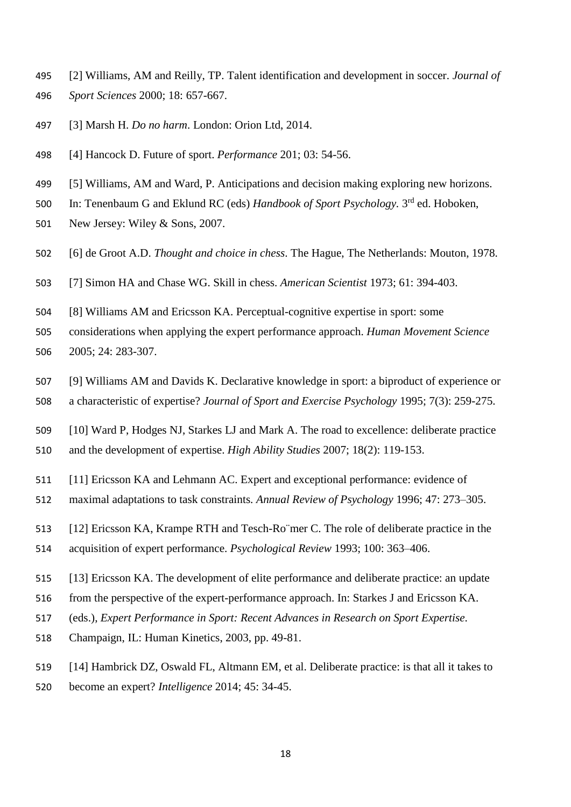- [2] Williams, AM and Reilly, TP. Talent identification and development in soccer. *Journal of Sport Sciences* 2000; 18: 657-667.
- [3] Marsh H. *Do no harm*. London: Orion Ltd, 2014.
- [4] Hancock D. Future of sport. *Performance* 201; 03: 54-56.
- [5] Williams, AM and Ward, P. Anticipations and decision making exploring new horizons.
- 500 In: Tenenbaum G and Eklund RC (eds) *Handbook of Sport Psychology*. 3<sup>rd</sup> ed. Hoboken,
- New Jersey: Wiley & Sons, 2007.
- [6] de Groot A.D. *Thought and choice in chess*. The Hague, The Netherlands: Mouton, 1978.
- [7] Simon HA and Chase WG. Skill in chess. *American Scientist* 1973; 61: 394-403.
- [8] Williams AM and Ericsson KA. Perceptual-cognitive expertise in sport: some

 considerations when applying the expert performance approach. *Human Movement Science* 2005; 24: 283-307.

- [9] Williams AM and Davids K. Declarative knowledge in sport: a biproduct of experience or a characteristic of expertise? *Journal of Sport and Exercise Psychology* 1995; 7(3): 259-275.
- [10] Ward P, Hodges NJ, Starkes LJ and Mark A. The road to excellence: deliberate practice
- and the development of expertise. *High Ability Studies* 2007; 18(2): 119-153.
- [11] Ericsson KA and Lehmann AC. Expert and exceptional performance: evidence of
- maximal adaptations to task constraints*. Annual Review of Psychology* 1996; 47: 273–305.
- [12] Ericsson KA, Krampe RTH and Tesch-Ro¨mer C. The role of deliberate practice in the
- acquisition of expert performance. *Psychological Review* 1993; 100: 363–406.
- [13] Ericsson KA. The development of elite performance and deliberate practice: an update
- from the perspective of the expert-performance approach. In: Starkes J and Ericsson KA.
- (eds.), *Expert Performance in Sport: Recent Advances in Research on Sport Expertise.*
- Champaign, IL: Human Kinetics, 2003, pp. 49-81.
- [14] Hambrick DZ, Oswald FL, Altmann EM, et al. Deliberate practice: is that all it takes to
- become an expert? *Intelligence* 2014; 45: 34-45.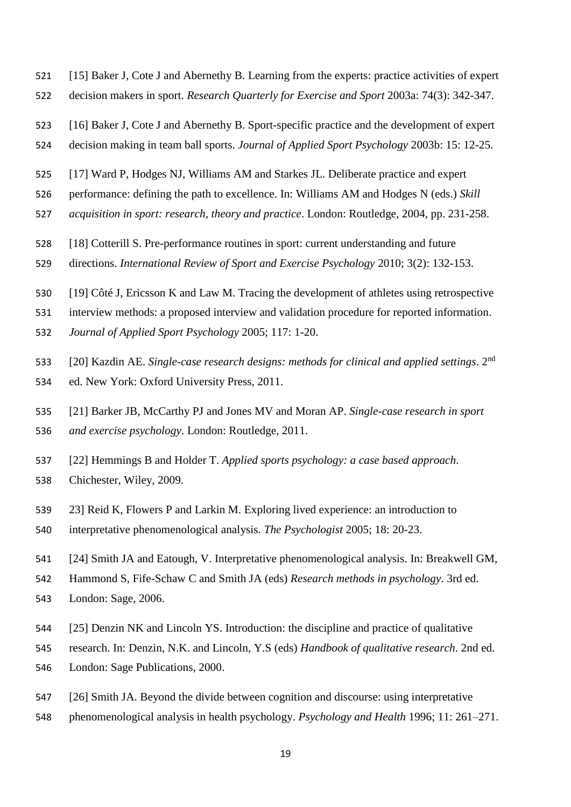- [15] Baker J, Cote J and Abernethy B. Learning from the experts: practice activities of expert decision makers in sport. *Research Quarterly for Exercise and Sport* 2003a: 74(3): 342-347.
- [16] Baker J, Cote J and Abernethy B. Sport-specific practice and the development of expert
- decision making in team ball sports. *Journal of Applied Sport Psychology* 2003b: 15: 12-25.
- [17] Ward P, Hodges NJ, Williams AM and Starkes JL. Deliberate practice and expert
- performance: defining the path to excellence. In: Williams AM and Hodges N (eds.) *Skill*
- *acquisition in sport: research, theory and practice*. London: Routledge, 2004, pp. 231-258.
- [18] Cotterill S. Pre-performance routines in sport: current understanding and future
- directions. *International Review of Sport and Exercise Psychology* 2010; 3(2): 132-153.
- [19] Côté J, Ericsson K and Law M. Tracing the development of athletes using retrospective
- interview methods: a proposed interview and validation procedure for reported information.
- *Journal of Applied Sport Psychology* 2005; 117: 1-20.
- [20] Kazdin AE. *Single-case research designs: methods for clinical and applied settings*. 2nd
- ed. New York: Oxford University Press, 2011.
- [21] Barker JB, McCarthy PJ and Jones MV and Moran AP. *Single-case research in sport*
- *and exercise psychology*. London: Routledge, 2011.
- [22] Hemmings B and Holder T. *Applied sports psychology: a case based approach*. Chichester, Wiley, 2009.
- 23] Reid K, Flowers P and Larkin M. Exploring lived experience: an introduction to
- interpretative phenomenological analysis*. The Psychologist* 2005; 18: 20-23.
- [24] Smith JA and Eatough, V. Interpretative phenomenological analysis. In: Breakwell GM,
- Hammond S, Fife-Schaw C and Smith JA (eds) *Research methods in psychology*. 3rd ed.
- London: Sage, 2006.
- [25] Denzin NK and Lincoln YS. Introduction: the discipline and practice of qualitative
- research. In: Denzin, N.K. and Lincoln, Y.S (eds) *Handbook of qualitative research*. 2nd ed.
- London: Sage Publications, 2000.
- [26] Smith JA. Beyond the divide between cognition and discourse: using interpretative
- phenomenological analysis in health psychology. *Psychology and Health* 1996; 11: 261–271.